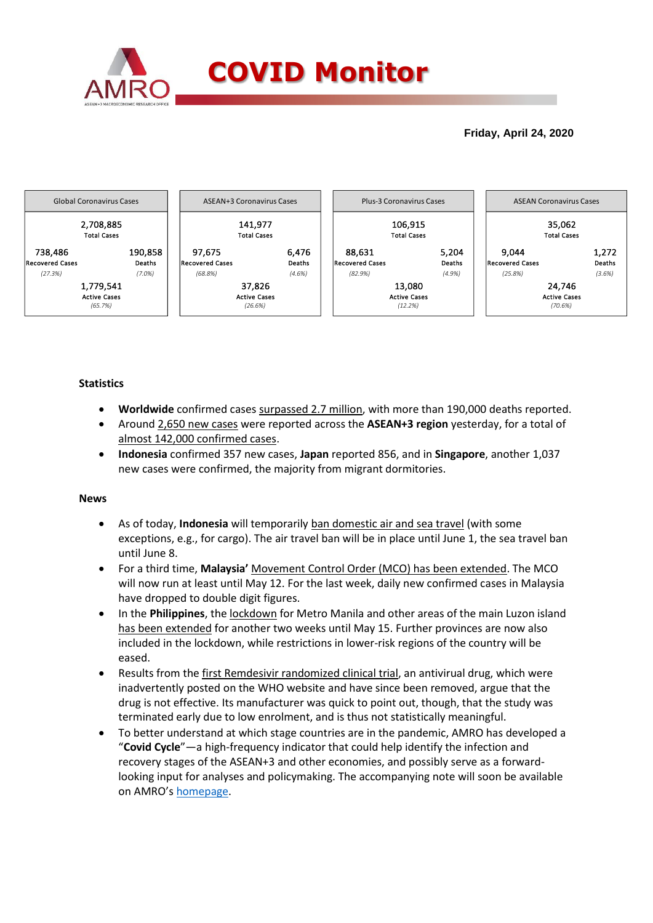

## **Friday, April 24, 2020**



### **Statistics**

- **Worldwide** confirmed cases surpassed 2.7 million, with more than 190,000 deaths reported.
- Around 2,650 new cases were reported across the **ASEAN+3 region** yesterday, for a total of almost 142,000 confirmed cases.
- **Indonesia** confirmed 357 new cases, **Japan** reported 856, and in **Singapore**, another 1,037 new cases were confirmed, the majority from migrant dormitories.

#### **News**

- As of today, **Indonesia** will temporarily ban domestic air and sea travel (with some exceptions, e.g., for cargo). The air travel ban will be in place until June 1, the sea travel ban until June 8.
- For a third time, **Malaysia'** Movement Control Order (MCO) has been extended. The MCO will now run at least until May 12. For the last week, daily new confirmed cases in Malaysia have dropped to double digit figures.
- In the **Philippines**, the lockdown for Metro Manila and other areas of the main Luzon island has been extended for another two weeks until May 15. Further provinces are now also included in the lockdown, while restrictions in lower-risk regions of the country will be eased.
- Results from the first Remdesivir randomized clinical trial, an antivirual drug, which were inadvertently posted on the WHO website and have since been removed, argue that the drug is not effective. Its manufacturer was quick to point out, though, that the study was terminated early due to low enrolment, and is thus not statistically meaningful.
- To better understand at which stage countries are in the pandemic, AMRO has developed a "**Covid Cycle**"—a high-frequency indicator that could help identify the infection and recovery stages of the ASEAN+3 and other economies, and possibly serve as a forwardlooking input for analyses and policymaking. The accompanying note will soon be available on AMRO's [homepage.](https://www.amro-asia.org/publications/amro-thematic-studies/)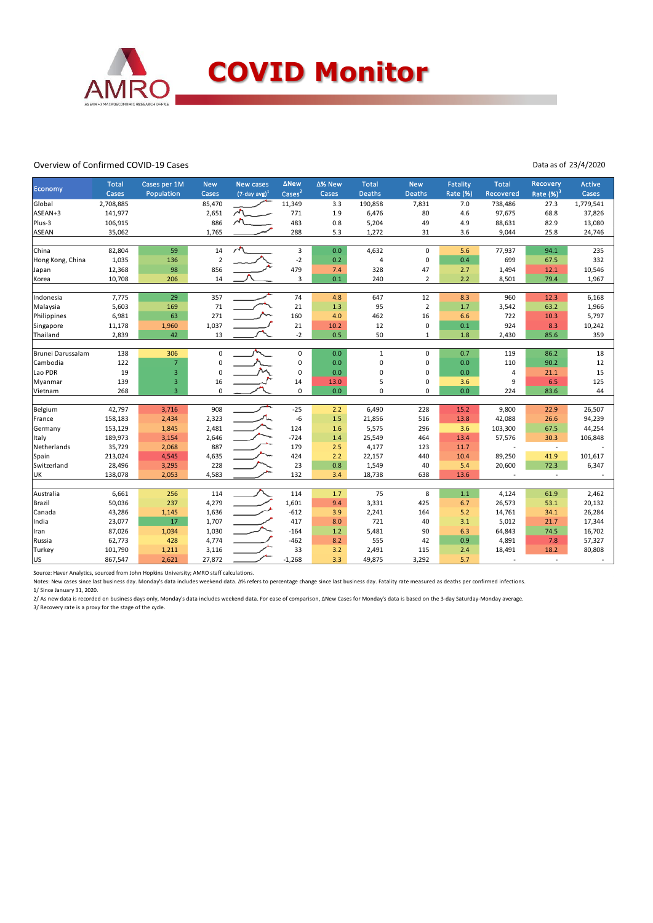

#### Overview of Confirmed COVID-19 Cases

Data as of 23/4/2020

| Economy           | <b>Total</b><br>Cases | Cases per 1M<br>Population | <b>New</b><br>Cases | <b>New cases</b><br>$(7$ -day avg) <sup>1</sup> | ∆New<br>$\text{Case}^2$ | Δ% New<br>Cases | <b>Total</b><br><b>Deaths</b> | <b>New</b><br><b>Deaths</b> | Fatality<br>Rate (%) | <b>Total</b><br><b>Recovered</b> | Recovery<br>Rate $(%)^3$ | Active<br>Cases |
|-------------------|-----------------------|----------------------------|---------------------|-------------------------------------------------|-------------------------|-----------------|-------------------------------|-----------------------------|----------------------|----------------------------------|--------------------------|-----------------|
| Global            | 2,708,885             |                            | 85,470              |                                                 | 11,349                  | 3.3             | 190,858                       | 7,831                       | 7.0                  | 738,486                          | 27.3                     | 1,779,541       |
| ASEAN+3           | 141,977               |                            | 2,651               | $\sqrt{2}$                                      | 771                     | 1.9             | 6,476                         | 80                          | 4.6                  | 97,675                           | 68.8                     | 37,826          |
| Plus-3            | 106,915               |                            | 886                 | $\sim$                                          | 483                     | 0.8             | 5,204                         | 49                          | 4.9                  | 88,631                           | 82.9                     | 13,080          |
| <b>ASEAN</b>      | 35,062                |                            | 1,765               |                                                 | 288                     | 5.3             | 1,272                         | 31                          | 3.6                  | 9,044                            | 25.8                     | 24,746          |
| China             | 82,804                | 59                         | 14                  | $\overline{\phantom{a}}$                        | 3                       | 0.0             | 4,632                         | $\mathbf 0$                 | 5.6                  | 77,937                           | 94.1                     | 235             |
| Hong Kong, China  | 1,035                 | 136                        | $\overline{2}$      |                                                 | $-2$                    | 0.2             | 4                             | 0                           | 0.4                  | 699                              | 67.5                     | 332             |
| Japan             | 12,368                | 98                         | 856                 |                                                 | 479                     | 7.4             | 328                           | 47                          | 2.7                  | 1,494                            | 12.1                     | 10,546          |
| Korea             | 10,708                | 206                        | 14                  |                                                 | 3                       | 0.1             | 240                           | $\overline{2}$              | 2.2                  | 8,501                            | 79.4                     | 1,967           |
| Indonesia         | 7,775                 | 29                         | 357                 |                                                 | 74                      | 4.8             | 647                           | 12                          | 8.3                  | 960                              | 12.3                     | 6,168           |
| Malaysia          | 5,603                 | 169                        | 71                  |                                                 | 21                      | 1.3             | 95                            | $\overline{2}$              | 1.7                  | 3,542                            | 63.2                     | 1,966           |
| Philippines       | 6,981                 | 63                         | 271                 |                                                 | 160                     | 4.0             | 462                           | 16                          | 6.6                  | 722                              | 10.3                     | 5,797           |
| Singapore         | 11,178                | 1,960                      | 1,037               |                                                 | 21                      | 10.2            | 12                            | 0                           | 0.1                  | 924                              | 8.3                      | 10,242          |
| Thailand          | 2,839                 | 42                         | 13                  |                                                 | $-2$                    | 0.5             | 50                            | 1                           | 1.8                  | 2,430                            | 85.6                     | 359             |
| Brunei Darussalam | 138                   | 306                        | $\mathsf 0$         |                                                 | $\pmb{0}$               | 0.0             | $\mathbf{1}$                  | 0                           | 0.7                  | 119                              | 86.2                     | 18              |
| Cambodia          | 122                   | $\overline{7}$             | $\mathsf 0$         |                                                 | $\pmb{0}$               | 0.0             | 0                             | 0                           | 0.0                  | 110                              | 90.2                     | 12              |
| Lao PDR           | 19                    | $\overline{\mathbf{3}}$    | $\mathbf 0$         |                                                 | $\mathbf 0$             | 0.0             | 0                             | 0                           | 0.0                  | 4                                | 21.1                     | 15              |
| Myanmar           | 139                   | $\overline{\mathbf{3}}$    | 16                  |                                                 | 14                      | 13.0            | 5                             | 0                           | 3.6                  | 9                                | 6.5                      | 125             |
| Vietnam           | 268                   | $\overline{3}$             | $\mathbf 0$         |                                                 | $\mathbf{0}$            | 0.0             | $\mathbf 0$                   | 0                           | 0.0                  | 224                              | 83.6                     | 44              |
| Belgium           | 42,797                | 3,716                      | 908                 |                                                 | $-25$                   | 2.2             | 6,490                         | 228                         | 15.2                 | 9,800                            | 22.9                     | 26,507          |
| France            | 158,183               | 2,434                      | 2,323               |                                                 | $-6$                    | 1.5             | 21,856                        | 516                         | 13.8                 | 42,088                           | 26.6                     | 94,239          |
| Germany           | 153,129               | 1,845                      | 2,481               |                                                 | 124                     | 1.6             | 5,575                         | 296                         | 3.6                  | 103,300                          | 67.5                     | 44,254          |
| Italy             | 189,973               | 3,154                      | 2,646               |                                                 | $-724$                  | 1.4             | 25,549                        | 464                         | 13.4                 | 57,576                           | 30.3                     | 106,848         |
| Netherlands       | 35,729                | 2,068                      | 887                 |                                                 | 179                     | 2.5             | 4,177                         | 123                         | 11.7                 |                                  | ÷,                       |                 |
| Spain             | 213,024               | 4,545                      | 4,635               |                                                 | 424                     | 2.2             | 22,157                        | 440                         | 10.4                 | 89,250                           | 41.9                     | 101,617         |
| Switzerland       | 28,496                | 3,295                      | 228                 |                                                 | 23                      | 0.8             | 1,549                         | 40                          | 5.4                  | 20,600                           | 72.3                     | 6,347           |
| UK                | 138,078               | 2,053                      | 4,583               |                                                 | 132                     | 3.4             | 18,738                        | 638                         | 13.6                 |                                  | $\sim$                   |                 |
| Australia         | 6,661                 | 256                        | 114                 |                                                 | 114                     | 1.7             | 75                            | 8                           | $1.1$                | 4,124                            | 61.9                     | 2,462           |
| Brazil            | 50,036                | 237                        | 4,279               |                                                 | 1,601                   | 9.4             | 3,331                         | 425                         | 6.7                  | 26,573                           | 53.1                     | 20,132          |
| Canada            | 43,286                | 1,145                      | 1,636               |                                                 | $-612$                  | 3.9             | 2,241                         | 164                         | 5.2                  | 14,761                           | 34.1                     | 26,284          |
| India             | 23,077                | 17                         | 1,707               |                                                 | 417                     | 8.0             | 721                           | 40                          | 3.1                  | 5,012                            | 21.7                     | 17,344          |
| Iran              | 87,026                | 1,034                      | 1,030               |                                                 | $-164$                  | 1.2             | 5,481                         | 90                          | 6.3                  | 64,843                           | 74.5                     | 16,702          |
| Russia            | 62,773                | 428                        | 4,774               |                                                 | $-462$                  | 8.2             | 555                           | 42                          | 0.9                  | 4,891                            | 7.8                      | 57,327          |
| Turkey            | 101,790               | 1,211                      | 3,116               |                                                 | 33                      | 3.2             | 2,491                         | 115                         | 2.4                  | 18,491                           | 18.2                     | 80,808          |
| lus               | 867,547               | 2,621                      | 27,872              |                                                 | $-1,268$                | 3.3             | 49,875                        | 3,292                       | 5.7                  |                                  | $\overline{a}$           |                 |

Source: Haver Analytics, sourced from John Hopkins University; AMRO staff calculations.

Notes: New cases since last business day. Monday's data includes weekend data. Δ% refers to percentage change since last business day. Fatality rate measured as deaths per confirmed infections. 1/ Since January 31, 2020.

2/ As new data is recorded on business days only, Monday's data includes weekend data. For ease of comparison, ΔNew Cases for Monday's data is based on the 3-day Saturday-Monday average.

3/ Recovery rate is a proxy for the stage of the cycle.